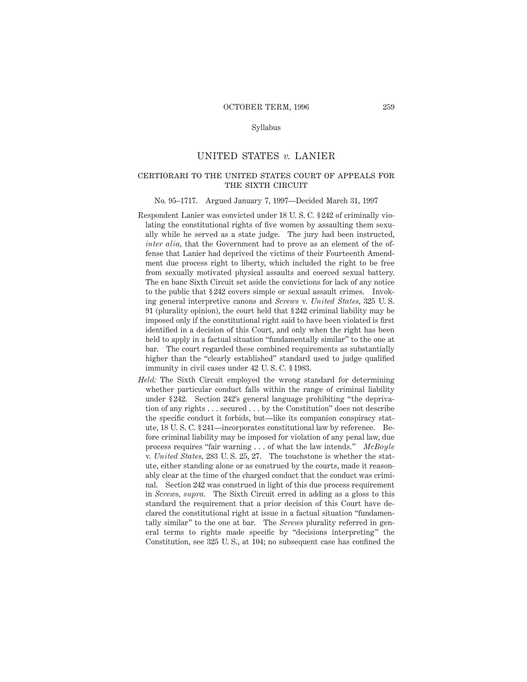# Syllabus

# UNITED STATES *v.* LANIER

# certiorari to the united states court of appeals for THE SIXTH CIRCUIT

# No. 95–1717. Argued January 7, 1997—Decided March 31, 1997

- Respondent Lanier was convicted under 18 U. S. C. § 242 of criminally violating the constitutional rights of five women by assaulting them sexually while he served as a state judge. The jury had been instructed, *inter alia,* that the Government had to prove as an element of the offense that Lanier had deprived the victims of their Fourteenth Amendment due process right to liberty, which included the right to be free from sexually motivated physical assaults and coerced sexual battery. The en banc Sixth Circuit set aside the convictions for lack of any notice to the public that § 242 covers simple or sexual assault crimes. Invoking general interpretive canons and *Screws* v. *United States,* 325 U. S. 91 (plurality opinion), the court held that § 242 criminal liability may be imposed only if the constitutional right said to have been violated is first identified in a decision of this Court, and only when the right has been held to apply in a factual situation "fundamentally similar" to the one at bar. The court regarded these combined requirements as substantially higher than the "clearly established" standard used to judge qualified immunity in civil cases under 42 U. S. C. § 1983.
- *Held:* The Sixth Circuit employed the wrong standard for determining whether particular conduct falls within the range of criminal liability under § 242. Section 242's general language prohibiting "the deprivation of any rights . . . secured . . . by the Constitution" does not describe the specific conduct it forbids, but—like its companion conspiracy statute, 18 U. S. C. § 241—incorporates constitutional law by reference. Before criminal liability may be imposed for violation of any penal law, due process requires "fair warning . . . of what the law intends." *McBoyle* v. *United States,* 283 U. S. 25, 27. The touchstone is whether the statute, either standing alone or as construed by the courts, made it reasonably clear at the time of the charged conduct that the conduct was criminal. Section 242 was construed in light of this due process requirement in *Screws, supra.* The Sixth Circuit erred in adding as a gloss to this standard the requirement that a prior decision of this Court have declared the constitutional right at issue in a factual situation "fundamentally similar" to the one at bar. The *Screws* plurality referred in general terms to rights made specific by "decisions interpreting" the Constitution, see 325 U. S., at 104; no subsequent case has confined the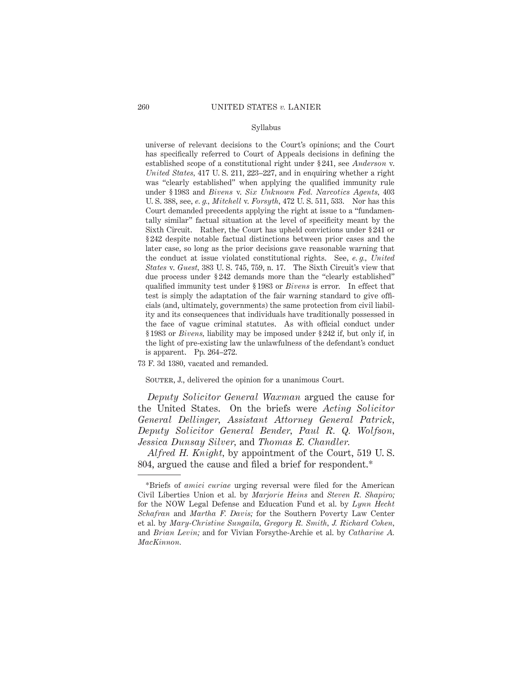# Syllabus

universe of relevant decisions to the Court's opinions; and the Court has specifically referred to Court of Appeals decisions in defining the established scope of a constitutional right under § 241, see *Anderson* v. *United States,* 417 U. S. 211, 223–227, and in enquiring whether a right was "clearly established" when applying the qualified immunity rule under § 1983 and *Bivens* v. *Six Unknown Fed. Narcotics Agents,* 403 U. S. 388, see, *e. g., Mitchell* v. *Forsyth,* 472 U. S. 511, 533. Nor has this Court demanded precedents applying the right at issue to a "fundamentally similar" factual situation at the level of specificity meant by the Sixth Circuit. Rather, the Court has upheld convictions under § 241 or § 242 despite notable factual distinctions between prior cases and the later case, so long as the prior decisions gave reasonable warning that the conduct at issue violated constitutional rights. See, *e. g., United States* v. *Guest,* 383 U. S. 745, 759, n. 17. The Sixth Circuit's view that due process under § 242 demands more than the "clearly established" qualified immunity test under § 1983 or *Bivens* is error. In effect that test is simply the adaptation of the fair warning standard to give officials (and, ultimately, governments) the same protection from civil liability and its consequences that individuals have traditionally possessed in the face of vague criminal statutes. As with official conduct under § 1983 or *Bivens,* liability may be imposed under § 242 if, but only if, in the light of pre-existing law the unlawfulness of the defendant's conduct is apparent. Pp. 264–272.

73 F. 3d 1380, vacated and remanded.

SOUTER, J., delivered the opinion for a unanimous Court.

*Deputy Solicitor General Waxman* argued the cause for the United States. On the briefs were *Acting Solicitor General Dellinger, Assistant Attorney General Patrick, Deputy Solicitor General Bender, Paul R. Q. Wolfson, Jessica Dunsay Silver,* and *Thomas E. Chandler.*

*Alfred H. Knight,* by appointment of the Court, 519 U. S. 804, argued the cause and filed a brief for respondent.\*

<sup>\*</sup>Briefs of *amici curiae* urging reversal were filed for the American Civil Liberties Union et al. by *Marjorie Heins* and *Steven R. Shapiro;* for the NOW Legal Defense and Education Fund et al. by *Lynn Hecht Schafran* and *Martha F. Davis;* for the Southern Poverty Law Center et al. by *Mary-Christine Sungaila, Gregory R. Smith, J. Richard Cohen,* and *Brian Levin;* and for Vivian Forsythe-Archie et al. by *Catharine A. MacKinnon.*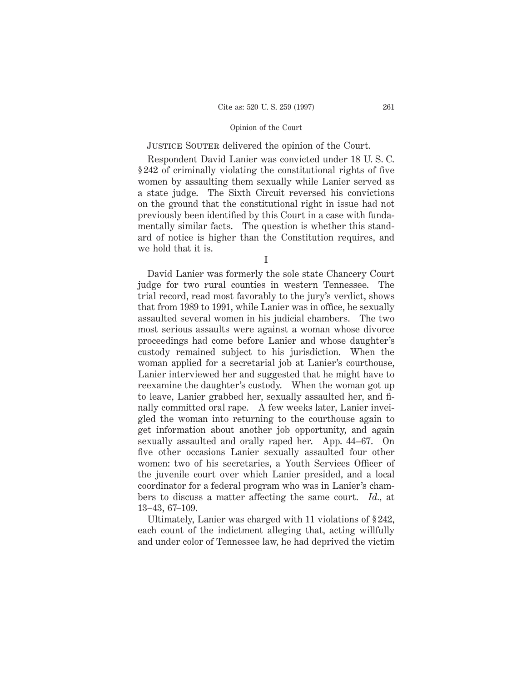# JUSTICE SOUTER delivered the opinion of the Court.

Respondent David Lanier was convicted under 18 U. S. C. § 242 of criminally violating the constitutional rights of five women by assaulting them sexually while Lanier served as a state judge. The Sixth Circuit reversed his convictions on the ground that the constitutional right in issue had not previously been identified by this Court in a case with fundamentally similar facts. The question is whether this standard of notice is higher than the Constitution requires, and we hold that it is.

David Lanier was formerly the sole state Chancery Court judge for two rural counties in western Tennessee. The trial record, read most favorably to the jury's verdict, shows that from 1989 to 1991, while Lanier was in office, he sexually assaulted several women in his judicial chambers. The two most serious assaults were against a woman whose divorce proceedings had come before Lanier and whose daughter's custody remained subject to his jurisdiction. When the woman applied for a secretarial job at Lanier's courthouse, Lanier interviewed her and suggested that he might have to reexamine the daughter's custody. When the woman got up to leave, Lanier grabbed her, sexually assaulted her, and finally committed oral rape. A few weeks later, Lanier inveigled the woman into returning to the courthouse again to get information about another job opportunity, and again sexually assaulted and orally raped her. App. 44–67. On five other occasions Lanier sexually assaulted four other women: two of his secretaries, a Youth Services Officer of the juvenile court over which Lanier presided, and a local coordinator for a federal program who was in Lanier's chambers to discuss a matter affecting the same court. *Id.,* at 13–43, 67–109.

Ultimately, Lanier was charged with 11 violations of § 242, each count of the indictment alleging that, acting willfully and under color of Tennessee law, he had deprived the victim

I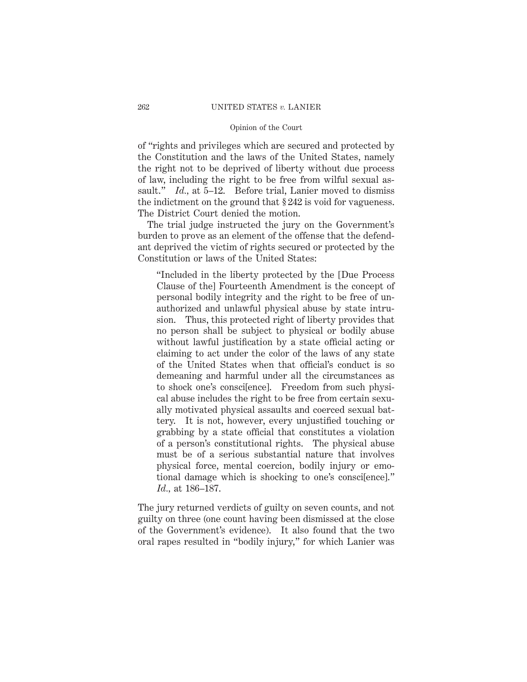of "rights and privileges which are secured and protected by the Constitution and the laws of the United States, namely the right not to be deprived of liberty without due process of law, including the right to be free from wilful sexual assault." *Id.*, at 5–12. Before trial, Lanier moved to dismiss the indictment on the ground that § 242 is void for vagueness. The District Court denied the motion.

The trial judge instructed the jury on the Government's burden to prove as an element of the offense that the defendant deprived the victim of rights secured or protected by the Constitution or laws of the United States:

"Included in the liberty protected by the [Due Process Clause of the] Fourteenth Amendment is the concept of personal bodily integrity and the right to be free of unauthorized and unlawful physical abuse by state intrusion. Thus, this protected right of liberty provides that no person shall be subject to physical or bodily abuse without lawful justification by a state official acting or claiming to act under the color of the laws of any state of the United States when that official's conduct is so demeaning and harmful under all the circumstances as to shock one's consci[ence]. Freedom from such physical abuse includes the right to be free from certain sexually motivated physical assaults and coerced sexual battery. It is not, however, every unjustified touching or grabbing by a state official that constitutes a violation of a person's constitutional rights. The physical abuse must be of a serious substantial nature that involves physical force, mental coercion, bodily injury or emotional damage which is shocking to one's consci[ence]." *Id.,* at 186–187.

The jury returned verdicts of guilty on seven counts, and not guilty on three (one count having been dismissed at the close of the Government's evidence). It also found that the two oral rapes resulted in "bodily injury," for which Lanier was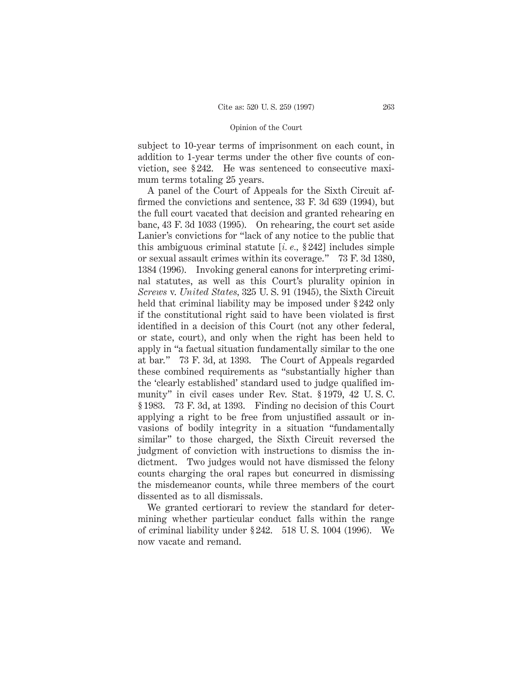subject to 10-year terms of imprisonment on each count, in addition to 1-year terms under the other five counts of conviction, see § 242. He was sentenced to consecutive maximum terms totaling 25 years.

A panel of the Court of Appeals for the Sixth Circuit affirmed the convictions and sentence, 33 F. 3d 639 (1994), but the full court vacated that decision and granted rehearing en banc, 43 F. 3d 1033 (1995). On rehearing, the court set aside Lanier's convictions for "lack of any notice to the public that this ambiguous criminal statute [*i. e.,* § 242] includes simple or sexual assault crimes within its coverage." 73 F. 3d 1380, 1384 (1996). Invoking general canons for interpreting criminal statutes, as well as this Court's plurality opinion in *Screws* v. *United States,* 325 U. S. 91 (1945), the Sixth Circuit held that criminal liability may be imposed under §242 only if the constitutional right said to have been violated is first identified in a decision of this Court (not any other federal, or state, court), and only when the right has been held to apply in "a factual situation fundamentally similar to the one at bar." 73 F. 3d, at 1393. The Court of Appeals regarded these combined requirements as "substantially higher than the 'clearly established' standard used to judge qualified immunity" in civil cases under Rev. Stat. § 1979, 42 U. S. C. § 1983. 73 F. 3d, at 1393. Finding no decision of this Court applying a right to be free from unjustified assault or invasions of bodily integrity in a situation "fundamentally similar" to those charged, the Sixth Circuit reversed the judgment of conviction with instructions to dismiss the indictment. Two judges would not have dismissed the felony counts charging the oral rapes but concurred in dismissing the misdemeanor counts, while three members of the court dissented as to all dismissals.

We granted certiorari to review the standard for determining whether particular conduct falls within the range of criminal liability under § 242. 518 U. S. 1004 (1996). We now vacate and remand.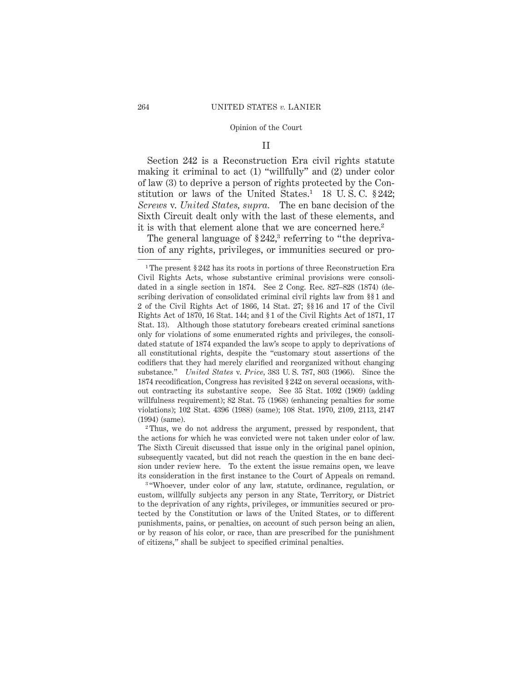# II

Section 242 is a Reconstruction Era civil rights statute making it criminal to act (1) "willfully" and (2) under color of law (3) to deprive a person of rights protected by the Constitution or laws of the United States.<sup>1</sup> 18 U.S.C.  $§242;$ *Screws* v. *United States, supra.* The en banc decision of the Sixth Circuit dealt only with the last of these elements, and it is with that element alone that we are concerned here.<sup>2</sup>

The general language of  $\S 242$ ,<sup>3</sup> referring to "the deprivation of any rights, privileges, or immunities secured or pro-

<sup>2</sup> Thus, we do not address the argument, pressed by respondent, that the actions for which he was convicted were not taken under color of law. The Sixth Circuit discussed that issue only in the original panel opinion, subsequently vacated, but did not reach the question in the en banc decision under review here. To the extent the issue remains open, we leave its consideration in the first instance to the Court of Appeals on remand.

<sup>3</sup> "Whoever, under color of any law, statute, ordinance, regulation, or custom, willfully subjects any person in any State, Territory, or District to the deprivation of any rights, privileges, or immunities secured or protected by the Constitution or laws of the United States, or to different punishments, pains, or penalties, on account of such person being an alien, or by reason of his color, or race, than are prescribed for the punishment of citizens," shall be subject to specified criminal penalties.

<sup>1</sup> The present § 242 has its roots in portions of three Reconstruction Era Civil Rights Acts, whose substantive criminal provisions were consolidated in a single section in 1874. See 2 Cong. Rec. 827–828 (1874) (describing derivation of consolidated criminal civil rights law from §§ 1 and 2 of the Civil Rights Act of 1866, 14 Stat. 27; §§ 16 and 17 of the Civil Rights Act of 1870, 16 Stat. 144; and § 1 of the Civil Rights Act of 1871, 17 Stat. 13). Although those statutory forebears created criminal sanctions only for violations of some enumerated rights and privileges, the consolidated statute of 1874 expanded the law's scope to apply to deprivations of all constitutional rights, despite the "customary stout assertions of the codifiers that they had merely clarified and reorganized without changing substance." *United States* v. *Price,* 383 U. S. 787, 803 (1966). Since the 1874 recodification, Congress has revisited § 242 on several occasions, without contracting its substantive scope. See 35 Stat. 1092 (1909) (adding willfulness requirement); 82 Stat. 75 (1968) (enhancing penalties for some violations); 102 Stat. 4396 (1988) (same); 108 Stat. 1970, 2109, 2113, 2147 (1994) (same).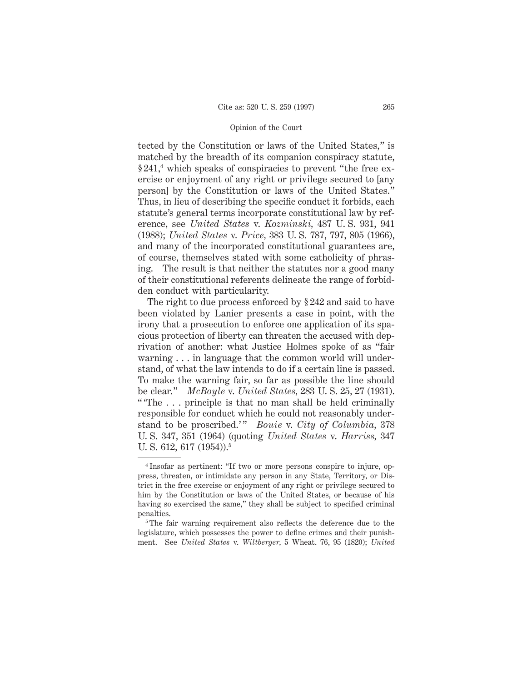tected by the Constitution or laws of the United States," is matched by the breadth of its companion conspiracy statute,  $§241<sup>4</sup>$  which speaks of conspiracies to prevent "the free exercise or enjoyment of any right or privilege secured to [any person] by the Constitution or laws of the United States." Thus, in lieu of describing the specific conduct it forbids, each statute's general terms incorporate constitutional law by reference, see *United States* v. *Kozminski,* 487 U. S. 931, 941 (1988); *United States* v. *Price,* 383 U. S. 787, 797, 805 (1966), and many of the incorporated constitutional guarantees are, of course, themselves stated with some catholicity of phrasing. The result is that neither the statutes nor a good many of their constitutional referents delineate the range of forbidden conduct with particularity.

The right to due process enforced by § 242 and said to have been violated by Lanier presents a case in point, with the irony that a prosecution to enforce one application of its spacious protection of liberty can threaten the accused with deprivation of another: what Justice Holmes spoke of as "fair warning . . . in language that the common world will understand, of what the law intends to do if a certain line is passed. To make the warning fair, so far as possible the line should be clear." *McBoyle* v. *United States,* 283 U. S. 25, 27 (1931). "The . . . principle is that no man shall be held criminally responsible for conduct which he could not reasonably understand to be proscribed.'" *Bouie* v. *City of Columbia*, 378 U. S. 347, 351 (1964) (quoting *United States* v. *Harriss,* 347 U. S. 612, 617 (1954)).<sup>5</sup>

<sup>4</sup> Insofar as pertinent: "If two or more persons conspire to injure, oppress, threaten, or intimidate any person in any State, Territory, or District in the free exercise or enjoyment of any right or privilege secured to him by the Constitution or laws of the United States, or because of his having so exercised the same," they shall be subject to specified criminal penalties.

<sup>&</sup>lt;sup>5</sup>The fair warning requirement also reflects the deference due to the legislature, which possesses the power to define crimes and their punishment. See *United States* v. *Wiltberger,* 5 Wheat. 76, 95 (1820); *United*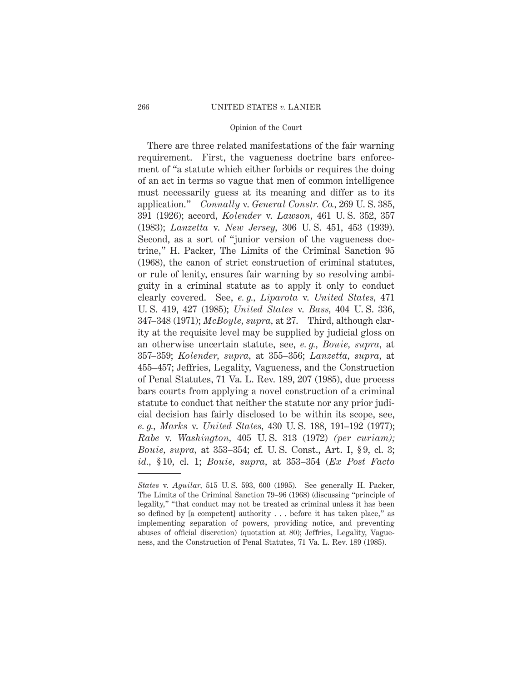There are three related manifestations of the fair warning requirement. First, the vagueness doctrine bars enforcement of "a statute which either forbids or requires the doing of an act in terms so vague that men of common intelligence must necessarily guess at its meaning and differ as to its application." *Connally* v. *General Constr. Co.,* 269 U. S. 385, 391 (1926); accord, *Kolender* v. *Lawson,* 461 U. S. 352, 357 (1983); *Lanzetta* v. *New Jersey,* 306 U. S. 451, 453 (1939). Second, as a sort of "junior version of the vagueness doctrine," H. Packer, The Limits of the Criminal Sanction 95 (1968), the canon of strict construction of criminal statutes, or rule of lenity, ensures fair warning by so resolving ambiguity in a criminal statute as to apply it only to conduct clearly covered. See, *e. g., Liparota* v. *United States,* 471 U. S. 419, 427 (1985); *United States* v. *Bass,* 404 U. S. 336, 347–348 (1971); *McBoyle, supra,* at 27. Third, although clarity at the requisite level may be supplied by judicial gloss on an otherwise uncertain statute, see, *e. g., Bouie, supra,* at 357–359; *Kolender, supra,* at 355–356; *Lanzetta, supra,* at 455–457; Jeffries, Legality, Vagueness, and the Construction of Penal Statutes, 71 Va. L. Rev. 189, 207 (1985), due process bars courts from applying a novel construction of a criminal statute to conduct that neither the statute nor any prior judicial decision has fairly disclosed to be within its scope, see, *e. g., Marks* v. *United States,* 430 U. S. 188, 191–192 (1977); *Rabe* v. *Washington,* 405 U. S. 313 (1972) *(per curiam); Bouie, supra,* at 353–354; cf. U. S. Const., Art. I, § 9, cl. 3; *id.,* § 10, cl. 1; *Bouie, supra,* at 353–354 (*Ex Post Facto*

*States* v. *Aguilar,* 515 U. S. 593, 600 (1995). See generally H. Packer, The Limits of the Criminal Sanction 79–96 (1968) (discussing "principle of legality," "that conduct may not be treated as criminal unless it has been so defined by [a competent] authority... before it has taken place," as implementing separation of powers, providing notice, and preventing abuses of official discretion) (quotation at 80); Jeffries, Legality, Vagueness, and the Construction of Penal Statutes, 71 Va. L. Rev. 189 (1985).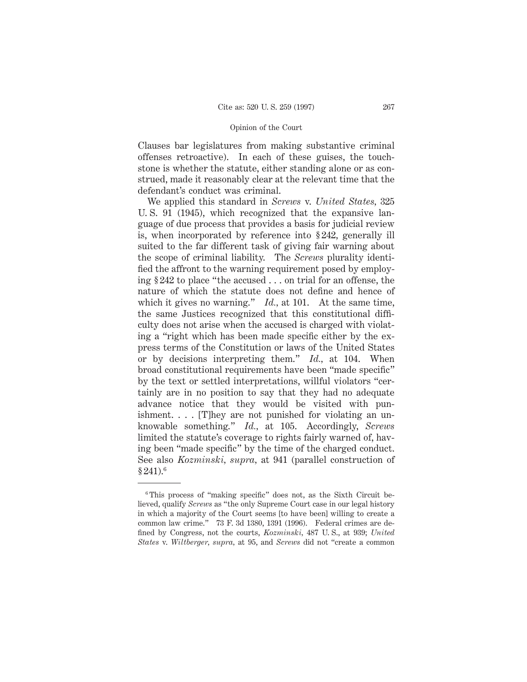Clauses bar legislatures from making substantive criminal offenses retroactive). In each of these guises, the touchstone is whether the statute, either standing alone or as construed, made it reasonably clear at the relevant time that the defendant's conduct was criminal.

We applied this standard in *Screws* v. *United States,* 325 U. S. 91 (1945), which recognized that the expansive language of due process that provides a basis for judicial review is, when incorporated by reference into § 242, generally ill suited to the far different task of giving fair warning about the scope of criminal liability. The *Screws* plurality identified the affront to the warning requirement posed by employing § 242 to place "the accused . . . on trial for an offense, the nature of which the statute does not define and hence of which it gives no warning." *Id.,* at 101. At the same time, the same Justices recognized that this constitutional difficulty does not arise when the accused is charged with violating a "right which has been made specific either by the express terms of the Constitution or laws of the United States or by decisions interpreting them." *Id.,* at 104. When broad constitutional requirements have been "made specific" by the text or settled interpretations, willful violators "certainly are in no position to say that they had no adequate advance notice that they would be visited with punishment. . . . [T]hey are not punished for violating an unknowable something." *Id.,* at 105. Accordingly, *Screws* limited the statute's coverage to rights fairly warned of, having been "made specific" by the time of the charged conduct. See also *Kozminski, supra,* at 941 (parallel construction of  $§ 241).$ <sup>6</sup>

<sup>&</sup>lt;sup>6</sup>This process of "making specific" does not, as the Sixth Circuit believed, qualify *Screws* as "the only Supreme Court case in our legal history in which a majority of the Court seems [to have been] willing to create a common law crime." 73 F. 3d 1380, 1391 (1996). Federal crimes are defined by Congress, not the courts, *Kozminski,* 487 U. S., at 939; *United States* v. *Wiltberger, supra,* at 95, and *Screws* did not "create a common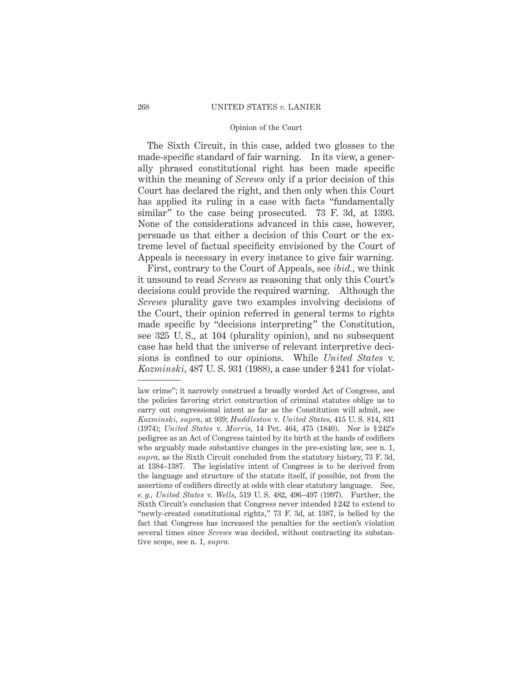The Sixth Circuit, in this case, added two glosses to the made-specific standard of fair warning. In its view, a generally phrased constitutional right has been made specific within the meaning of *Screws* only if a prior decision of this Court has declared the right, and then only when this Court has applied its ruling in a case with facts "fundamentally similar" to the case being prosecuted. 73 F. 3d, at 1393. None of the considerations advanced in this case, however, persuade us that either a decision of this Court or the extreme level of factual specificity envisioned by the Court of Appeals is necessary in every instance to give fair warning.

First, contrary to the Court of Appeals, see *ibid.,* we think it unsound to read *Screws* as reasoning that only this Court's decisions could provide the required warning. Although the *Screws* plurality gave two examples involving decisions of the Court, their opinion referred in general terms to rights made specific by "decisions interpreting" the Constitution, see 325 U. S., at 104 (plurality opinion), and no subsequent case has held that the universe of relevant interpretive decisions is confined to our opinions. While *United States* v. *Kozminski,* 487 U. S. 931 (1988), a case under § 241 for violat-

law crime"; it narrowly construed a broadly worded Act of Congress, and the policies favoring strict construction of criminal statutes oblige us to carry out congressional intent as far as the Constitution will admit, see *Kozminski, supra,* at 939; *Huddleston* v. *United States,* 415 U. S. 814, 831 (1974); *United States* v. *Morris,* 14 Pet. 464, 475 (1840). Nor is § 242's pedigree as an Act of Congress tainted by its birth at the hands of codifiers who arguably made substantive changes in the pre-existing law, see n. 1, *supra,* as the Sixth Circuit concluded from the statutory history, 73 F. 3d, at 1384–1387. The legislative intent of Congress is to be derived from the language and structure of the statute itself, if possible, not from the assertions of codifiers directly at odds with clear statutory language. See, *e. g., United States* v. *Wells,* 519 U. S. 482, 496–497 (1997). Further, the Sixth Circuit's conclusion that Congress never intended § 242 to extend to "newly-created constitutional rights," 73 F. 3d, at 1387, is belied by the fact that Congress has increased the penalties for the section's violation several times since *Screws* was decided, without contracting its substantive scope, see n. 1, *supra.*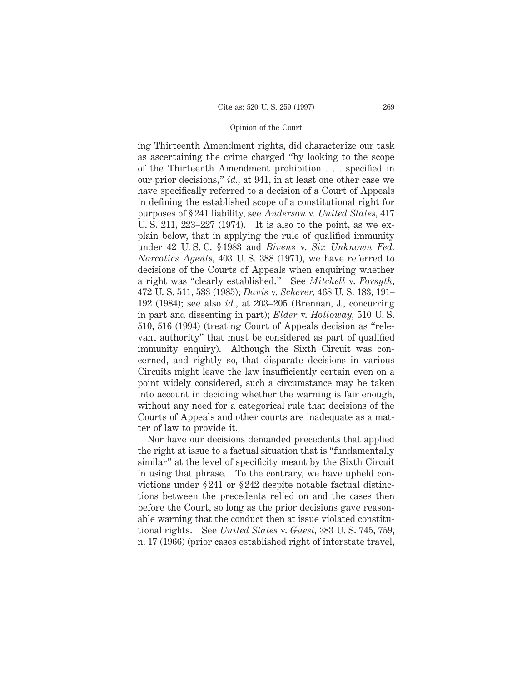ing Thirteenth Amendment rights, did characterize our task as ascertaining the crime charged "by looking to the scope of the Thirteenth Amendment prohibition . . . specified in our prior decisions," *id.,* at 941, in at least one other case we have specifically referred to a decision of a Court of Appeals in defining the established scope of a constitutional right for purposes of § 241 liability, see *Anderson* v. *United States,* 417 U. S. 211, 223–227 (1974). It is also to the point, as we explain below, that in applying the rule of qualified immunity under 42 U. S. C. § 1983 and *Bivens* v. *Six Unknown Fed. Narcotics Agents,* 403 U. S. 388 (1971), we have referred to decisions of the Courts of Appeals when enquiring whether a right was "clearly established." See *Mitchell* v. *Forsyth,* 472 U. S. 511, 533 (1985); *Davis* v. *Scherer,* 468 U. S. 183, 191– 192 (1984); see also *id.,* at 203–205 (Brennan, J., concurring in part and dissenting in part); *Elder* v. *Holloway,* 510 U. S. 510, 516 (1994) (treating Court of Appeals decision as "relevant authority" that must be considered as part of qualified immunity enquiry). Although the Sixth Circuit was concerned, and rightly so, that disparate decisions in various Circuits might leave the law insufficiently certain even on a point widely considered, such a circumstance may be taken into account in deciding whether the warning is fair enough, without any need for a categorical rule that decisions of the Courts of Appeals and other courts are inadequate as a matter of law to provide it.

Nor have our decisions demanded precedents that applied the right at issue to a factual situation that is "fundamentally similar" at the level of specificity meant by the Sixth Circuit in using that phrase. To the contrary, we have upheld convictions under § 241 or § 242 despite notable factual distinctions between the precedents relied on and the cases then before the Court, so long as the prior decisions gave reasonable warning that the conduct then at issue violated constitutional rights. See *United States* v. *Guest,* 383 U. S. 745, 759, n. 17 (1966) (prior cases established right of interstate travel,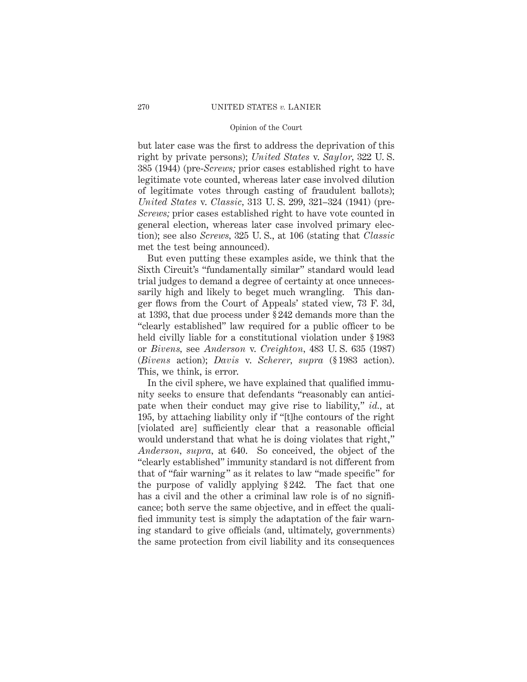but later case was the first to address the deprivation of this right by private persons); *United States* v. *Saylor,* 322 U. S. 385 (1944) (pre-*Screws;* prior cases established right to have legitimate vote counted, whereas later case involved dilution of legitimate votes through casting of fraudulent ballots); *United States* v. *Classic,* 313 U. S. 299, 321–324 (1941) (pre-*Screws;* prior cases established right to have vote counted in general election, whereas later case involved primary election); see also *Screws,* 325 U. S., at 106 (stating that *Classic* met the test being announced).

But even putting these examples aside, we think that the Sixth Circuit's "fundamentally similar" standard would lead trial judges to demand a degree of certainty at once unnecessarily high and likely to beget much wrangling. This danger flows from the Court of Appeals' stated view, 73 F. 3d, at 1393, that due process under § 242 demands more than the "clearly established" law required for a public officer to be held civilly liable for a constitutional violation under § 1983 or *Bivens,* see *Anderson* v. *Creighton,* 483 U. S. 635 (1987) (*Bivens* action); *Davis* v. *Scherer, supra* (§ 1983 action). This, we think, is error.

In the civil sphere, we have explained that qualified immunity seeks to ensure that defendants "reasonably can anticipate when their conduct may give rise to liability," *id.,* at 195, by attaching liability only if "[t]he contours of the right [violated are] sufficiently clear that a reasonable official would understand that what he is doing violates that right," *Anderson, supra,* at 640. So conceived, the object of the "clearly established" immunity standard is not different from that of "fair warning" as it relates to law "made specific" for the purpose of validly applying § 242. The fact that one has a civil and the other a criminal law role is of no significance; both serve the same objective, and in effect the qualified immunity test is simply the adaptation of the fair warning standard to give officials (and, ultimately, governments) the same protection from civil liability and its consequences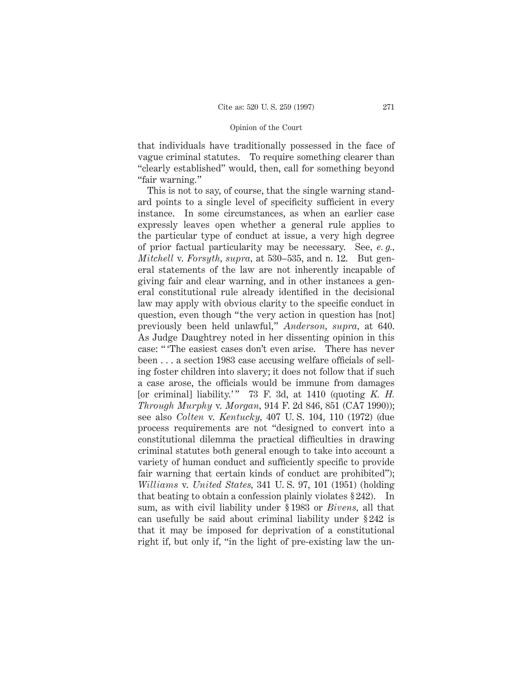that individuals have traditionally possessed in the face of vague criminal statutes. To require something clearer than "clearly established" would, then, call for something beyond "fair warning."

This is not to say, of course, that the single warning standard points to a single level of specificity sufficient in every instance. In some circumstances, as when an earlier case expressly leaves open whether a general rule applies to the particular type of conduct at issue, a very high degree of prior factual particularity may be necessary. See, *e. g., Mitchell* v. *Forsyth, supra,* at 530–535, and n. 12. But general statements of the law are not inherently incapable of giving fair and clear warning, and in other instances a general constitutional rule already identified in the decisional law may apply with obvious clarity to the specific conduct in question, even though "the very action in question has [not] previously been held unlawful," *Anderson, supra,* at 640. As Judge Daughtrey noted in her dissenting opinion in this case: " 'The easiest cases don't even arise. There has never been . . . a section 1983 case accusing welfare officials of selling foster children into slavery; it does not follow that if such a case arose, the officials would be immune from damages [or criminal] liability.'" 73 F. 3d. at 1410 (quoting *K. H. Through Murphy* v. *Morgan,* 914 F. 2d 846, 851 (CA7 1990)); see also *Colten* v. *Kentucky,* 407 U. S. 104, 110 (1972) (due process requirements are not "designed to convert into a constitutional dilemma the practical difficulties in drawing criminal statutes both general enough to take into account a variety of human conduct and sufficiently specific to provide fair warning that certain kinds of conduct are prohibited"); *Williams* v. *United States,* 341 U. S. 97, 101 (1951) (holding that beating to obtain a confession plainly violates § 242). In sum, as with civil liability under § 1983 or *Bivens,* all that can usefully be said about criminal liability under § 242 is that it may be imposed for deprivation of a constitutional right if, but only if, "in the light of pre-existing law the un-